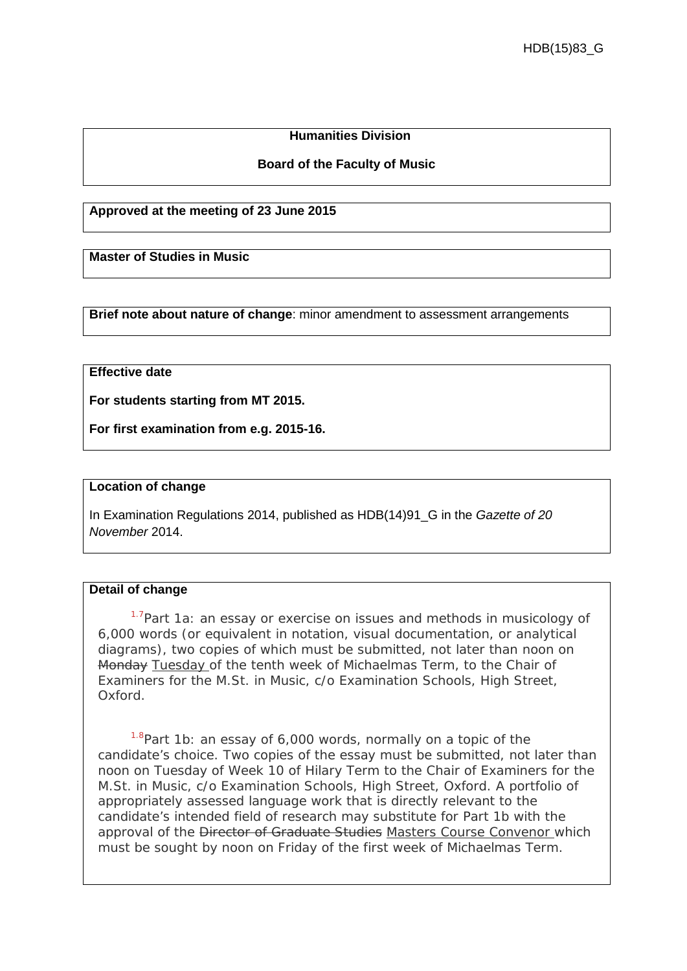# **Humanities Division**

### **Board of the Faculty of Music**

#### **Approved at the meeting of 23 June 2015**

**Master of Studies in Music**

**Brief note about nature of change**: minor amendment to assessment arrangements

## **Effective date**

**For students starting from MT 2015.**

**For first examination from e.g. 2015-16.**

#### **Location of change**

In Examination Regulations 2014, published as HDB(14)91\_G in the *Gazette of 20 November* 2014.

### **Detail of change**

<sup>1.7</sup>Part 1a: an essay or exercise on issues and methods in musicology of 6,000 words (or equivalent in notation, visual documentation, or analytical diagrams), two copies of which must be submitted, not later than noon on Monday Tuesday of the tenth week of Michaelmas Term, to the Chair of Examiners for the M.St. in Music, c/o Examination Schools, High Street, Oxford.

 $1.8$ Part 1b: an essay of 6,000 words, normally on a topic of the candidate's choice. Two copies of the essay must be submitted, not later than noon on Tuesday of Week 10 of Hilary Term to the Chair of Examiners for the M.St. in Music, c/o Examination Schools, High Street, Oxford. A portfolio of appropriately assessed language work that is directly relevant to the candidate's intended field of research may substitute for Part 1b with the approval of the Director of Graduate Studies Masters Course Convenor which must be sought by noon on Friday of the first week of Michaelmas Term.